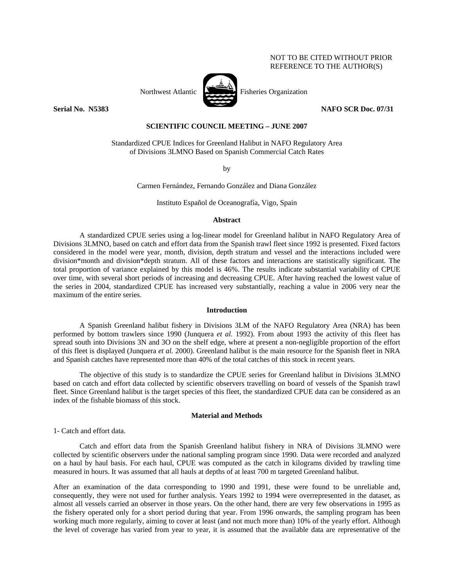# NOT TO BE CITED WITHOUT PRIOR REFERENCE TO THE AUTHOR(S)



Northwest Atlantic Fisheries Organization

**Serial No. 37833** NAFO SCR Doc. 07/31 **NAFO SCR Doc.** 07/31

# **SCIENTIFIC COUNCIL MEETING – JUNE 2007**

Standardized CPUE Indices for Greenland Halibut in NAFO Regulatory Area of Divisions 3LMNO Based on Spanish Commercial Catch Rates

by

Carmen Fernández, Fernando González and Diana González

Instituto Español de Oceanografía, Vigo, Spain

## **Abstract**

A standardized CPUE series using a log-linear model for Greenland halibut in NAFO Regulatory Area of Divisions 3LMNO, based on catch and effort data from the Spanish trawl fleet since 1992 is presented. Fixed factors considered in the model were year, month, division, depth stratum and vessel and the interactions included were division\*month and division\*depth stratum. All of these factors and interactions are statistically significant. The total proportion of variance explained by this model is 46%. The results indicate substantial variability of CPUE over time, with several short periods of increasing and decreasing CPUE. After having reached the lowest value of the series in 2004, standardized CPUE has increased very substantially, reaching a value in 2006 very near the maximum of the entire series.

### **Introduction**

A Spanish Greenland halibut fishery in Divisions 3LM of the NAFO Regulatory Area (NRA) has been performed by bottom trawlers since 1990 (Junquera *et al.* 1992). From about 1993 the activity of this fleet has spread south into Divisions 3N and 3O on the shelf edge, where at present a non-negligible proportion of the effort of this fleet is displayed (Junquera *et al.* 2000). Greenland halibut is the main resource for the Spanish fleet in NRA and Spanish catches have represented more than 40% of the total catches of this stock in recent years.

 The objective of this study is to standardize the CPUE series for Greenland halibut in Divisions 3LMNO based on catch and effort data collected by scientific observers travelling on board of vessels of the Spanish trawl fleet. Since Greenland halibut is the target species of this fleet, the standardized CPUE data can be considered as an index of the fishable biomass of this stock.

# **Material and Methods**

1- Catch and effort data.

 Catch and effort data from the Spanish Greenland halibut fishery in NRA of Divisions 3LMNO were collected by scientific observers under the national sampling program since 1990. Data were recorded and analyzed on a haul by haul basis. For each haul, CPUE was computed as the catch in kilograms divided by trawling time measured in hours. It was assumed that all hauls at depths of at least 700 m targeted Greenland halibut.

After an examination of the data corresponding to 1990 and 1991, these were found to be unreliable and, consequently, they were not used for further analysis. Years 1992 to 1994 were overrepresented in the dataset, as almost all vessels carried an observer in those years. On the other hand, there are very few observations in 1995 as the fishery operated only for a short period during that year. From 1996 onwards, the sampling program has been working much more regularly, aiming to cover at least (and not much more than) 10% of the yearly effort. Although the level of coverage has varied from year to year, it is assumed that the available data are representative of the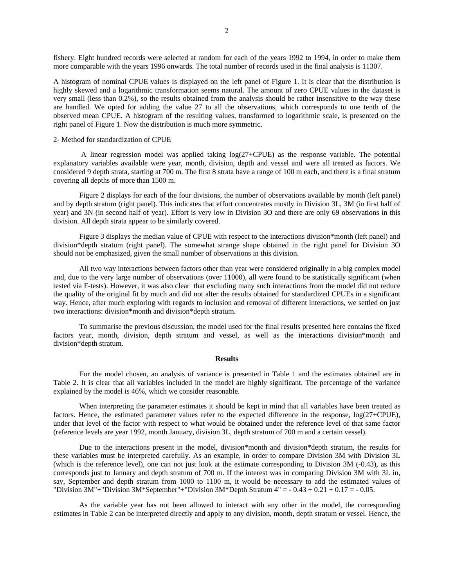fishery. Eight hundred records were selected at random for each of the years 1992 to 1994, in order to make them more comparable with the years 1996 onwards. The total number of records used in the final analysis is 11307.

A histogram of nominal CPUE values is displayed on the left panel of Figure 1. It is clear that the distribution is highly skewed and a logarithmic transformation seems natural. The amount of zero CPUE values in the dataset is very small (less than 0.2%), so the results obtained from the analysis should be rather insensitive to the way these are handled. We opted for adding the value 27 to all the observations, which corresponds to one tenth of the observed mean CPUE. A histogram of the resulting values, transformed to logarithmic scale, is presented on the right panel of Figure 1. Now the distribution is much more symmetric.

## 2- Method for standardization of CPUE

 A linear regression model was applied taking log(27+CPUE) as the response variable. The potential explanatory variables available were year, month, division, depth and vessel and were all treated as factors. We considered 9 depth strata, starting at 700 m. The first 8 strata have a range of 100 m each, and there is a final stratum covering all depths of more than 1500 m.

 Figure 2 displays for each of the four divisions, the number of observations available by month (left panel) and by depth stratum (right panel). This indicates that effort concentrates mostly in Division 3L, 3M (in first half of year) and 3N (in second half of year). Effort is very low in Division 3O and there are only 69 observations in this division. All depth strata appear to be similarly covered.

 Figure 3 displays the median value of CPUE with respect to the interactions division\*month (left panel) and division\*depth stratum (right panel). The somewhat strange shape obtained in the right panel for Division 3O should not be emphasized, given the small number of observations in this division.

 All two way interactions between factors other than year were considered originally in a big complex model and, due to the very large number of observations (over 11000), all were found to be statistically significant (when tested via F-tests). However, it was also clear that excluding many such interactions from the model did not reduce the quality of the original fit by much and did not alter the results obtained for standardized CPUEs in a significant way. Hence, after much exploring with regards to inclusion and removal of different interactions, we settled on just two interactions: division\*month and division\*depth stratum.

 To summarise the previous discussion, the model used for the final results presented here contains the fixed factors year, month, division, depth stratum and vessel, as well as the interactions division\*month and division\*depth stratum.

### **Results**

For the model chosen, an analysis of variance is presented in Table 1 and the estimates obtained are in Table 2. It is clear that all variables included in the model are highly significant. The percentage of the variance explained by the model is 46%, which we consider reasonable.

 When interpreting the parameter estimates it should be kept in mind that all variables have been treated as factors. Hence, the estimated parameter values refer to the expected difference in the response, log(27+CPUE), under that level of the factor with respect to what would be obtained under the reference level of that same factor (reference levels are year 1992, month January, division 3L, depth stratum of 700 m and a certain vessel).

 Due to the interactions present in the model, division\*month and division\*depth stratum, the results for these variables must be interpreted carefully. As an example, in order to compare Division 3M with Division 3L (which is the reference level), one can not just look at the estimate corresponding to Division 3M (-0.43), as this corresponds just to January and depth stratum of 700 m. If the interest was in comparing Division 3M with 3L in, say, September and depth stratum from 1000 to 1100 m, it would be necessary to add the estimated values of "Division 3M"+"Division 3M\*September"+"Division 3M\*Depth Stratum  $4" = -0.43 + 0.21 + 0.17 = -0.05$ .

 As the variable year has not been allowed to interact with any other in the model, the corresponding estimates in Table 2 can be interpreted directly and apply to any division, month, depth stratum or vessel. Hence, the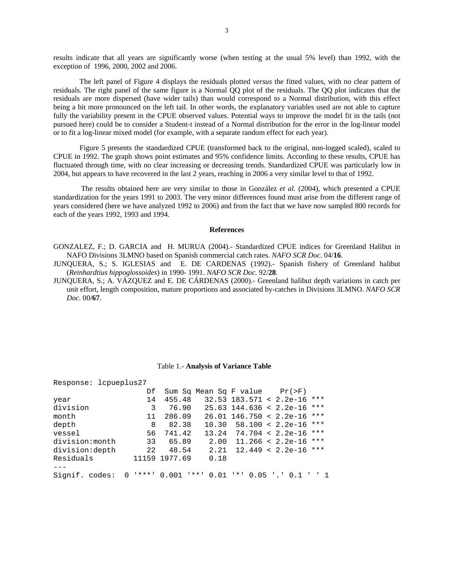results indicate that all years are significantly worse (when testing at the usual 5% level) than 1992, with the exception of 1996, 2000, 2002 and 2006.

The left panel of Figure 4 displays the residuals plotted *versus* the fitted values, with no clear pattern of residuals. The right panel of the same figure is a Normal QQ plot of the residuals. The QQ plot indicates that the residuals are more dispersed (have wider tails) than would correspond to a Normal distribution, with this effect being a bit more pronounced on the left tail. In other words, the explanatory variables used are not able to capture fully the variability present in the CPUE observed values. Potential ways to improve the model fit in the tails (not pursued here) could be to consider a Student-t instead of a Normal distribution for the error in the log-linear model or to fit a log-linear mixed model (for example, with a separate random effect for each year).

 Figure 5 presents the standardized CPUE (transformed back to the original, non-logged scaled), scaled to CPUE in 1992. The graph shows point estimates and 95% confidence limits. According to these results, CPUE has fluctuated through time, with no clear increasing or decreasing trends. Standardized CPUE was particularly low in 2004, but appears to have recovered in the last 2 years, reaching in 2006 a very similar level to that of 1992.

 The results obtained here are very similar to those in González *et al.* (2004), which presented a CPUE standardization for the years 1991 to 2003. The very minor differences found must arise from the different range of years considered (here we have analyzed 1992 to 2006) and from the fact that we have now sampled 800 records for each of the years 1992, 1993 and 1994.

#### **References**

GONZALEZ, F.; D. GARCIA and H. MURUA (2004).- Standardized CPUE indices for Greenland Halibut in NAFO Divisions 3LMNO based on Spanish commercial catch rates. *NAFO SCR Doc.* 04/**16***.* 

JUNQUERA, S.; S. IGLESIAS and E. DE CARDENAS (1992).- Spanish fishery of Greenland halibut (*Reinhardtius hippoglossoides*) in 1990- 1991. *NAFO SCR Doc.* 92/**28***.* 

JUNQUERA, S.; A. VÁZQUEZ and E. DE CÁRDENAS (2000).- Greenland halibut depth variations in catch per unit effort, length composition, mature proportions and associated by-catches in Divisions 3LMNO. *NAFO SCR Doc.* 00/**67**.

| Response: lcpueplus27 |          |               |      |                                             |  |
|-----------------------|----------|---------------|------|---------------------------------------------|--|
|                       | Df       |               |      | Sum Sq Mean Sq F value $Pr(>F)$             |  |
| year                  | 14       | 455.48        |      | $32.53$ 183.571 < 2.2e-16 ***               |  |
| division              | 3        | 76.90         |      | $25.63$ 144.636 < 2.2e-16 ***               |  |
| month                 | 11       | 286.09        |      | $26.01$ 146.750 < 2.2e-16 ***               |  |
| depth                 | 8        | 82.38         |      | $10.30$ 58.100 < 2.2e-16 ***                |  |
| vessel                | 56       | 741.42        |      | $13.24$ 74.704 < 2.2e-16 ***                |  |
| division:month        | 33       | 65.89         |      | $2.00$ 11.266 < 2.2e-16 ***                 |  |
| division:depth        | 22       | 48.54         |      | $2.21 \quad 12.449 \le 2.2e-16$ ***         |  |
| Residuals             |          | 11159 1977.69 | 0.18 |                                             |  |
|                       |          |               |      |                                             |  |
| Signif. codes:        | $\Omega$ | '***' 0.001   |      | $1***$ 0.01 $1***$ 0.05 $\cdot$ .' 0.1 ' '1 |  |

#### Table 1.- **Analysis of Variance Table**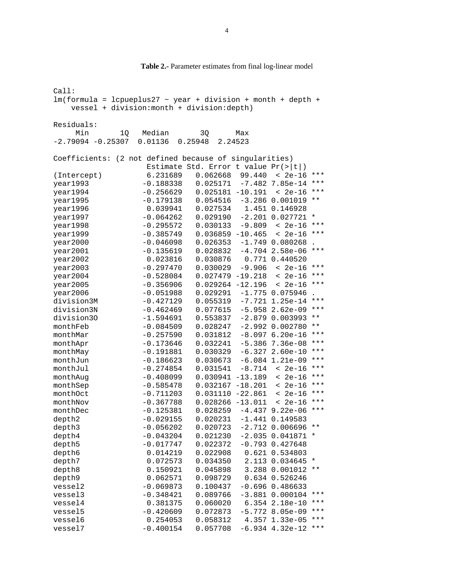Call:  $lm(formula = lcpueplus27 ~\sim~ year ~ +$  division + month + depth + vessel + division:month + division:depth) Residuals: Min 1Q Median 3Q Max -2.79094 -0.25307 0.01136 0.25948 2.24523 Coefficients: (2 not defined because of singularities) Estimate Std. Error t value Pr(>|t|)<br>6.231689 0.062668 99.440 < 2e-16 (Intercept) 6.231689 0.062668 99.440 < 2e-16 \*\*\* year1993 -0.188338 0.025171 -7.482 7.85e-14 \*\*\* year1994 -0.256629 0.025181 -10.191 < 2e-16 \*\*\* year1995 -0.179138 0.054516 -3.286 0.001019 \*\* year1996 0.039941 0.027534 1.451 0.146928 year1997 -0.064262 0.029190 -2.201 0.027721 \* year1998 -0.295572 0.030133 -9.809 < 2e-16 \*\*\*  $year1999$   $-0.385749$   $0.036859$   $-10.465$  < 2e-16 \*\*\* year2000 -0.046098 0.026353 -1.749 0.080268 . year2001 -0.135619 0.028832 -4.704 2.58e-06 \*\*\* year2002 0.023816 0.030876 0.771 0.440520  $year2003$   $-0.297470$   $0.030029$   $-9.906$  < 2e-16 \*\*\* year2004 -0.528084 0.027479 -19.218 < 2e-16 \*\*\* year2005 -0.356906 0.029264 -12.196 < 2e-16 \*\*\* year2006 -0.051988 0.029291 -1.775 0.075946 . division3M -0.427129 0.055319 -7.721 1.25e-14 \*\*\*<br>division3N -0.462469 0.077615 -5.958 2.62e-09 \*\*\* division3N -0.462469 0.077615 -5.958 2.62e-09 \*\*\* division30 -1.594691 0.553837 -2.879 0.003993 \*\* monthFeb -0.084509 0.028247 -2.992 0.002780 \*\* monthMar  $-0.257590$   $0.031812$   $-8.097$   $6.20e-16$  \*\*\* monthApr  $-0.173646$   $0.032241$   $-5.386$   $7.36e-08$  \*\*\* monthMay -0.191881 0.030329 -6.327 2.60e-10 \*\*\* monthJun -0.186623 0.030673 -6.084 1.21e-09 \*\*\* monthJul -0.274854 0.031541 -8.714 < 2e-16 \*\*\* monthAug -0.408099 0.030941 -13.189 < 2e-16 \*\*\* monthSep  $-0.585478$  0.032167 -18.201 < 2e-16 \*\*\* monthOct -0.711203 0.031110 -22.861 < 2e-16 \*\*\* monthNov -0.367788 0.028266 -13.011 < 2e-16 \*\*\* monthDec -0.125381 0.028259 -4.437 9.22e-06 \*\*\* depth2 -0.029155 0.020231 -1.441 0.149583 depth3 -0.056202 0.020723 -2.712 0.006696 \*\* depth4 -0.043204 0.021230 -2.035 0.041871 \* depth5 -0.017747 0.022372 -0.793 0.427648 depth6 0.014219 0.022908 0.621 0.534803 depth7 0.072573 0.034350 2.113 0.034645 \* depth8 0.150921 0.045898 3.288 0.001012 \*\* depth9 0.062571 0.098729 0.634 0.526246 vessel2 -0.069873 0.100437 -0.696 0.486633 vessel3 -0.348421 0.089766 -3.881 0.000104 \*\*\* vessel4 0.381375 0.060020 6.354 2.18e-10 \*\*\* vessel5 -0.420609 0.072873 -5.772 8.05e-09 \*\*\* vessel6 0.254053 0.058312 4.357 1.33e-05 \*\*\* vessel7 -0.400154 0.057708 -6.934 4.32e-12 \*\*\*

#### **Table 2.-** Parameter estimates from final log-linear model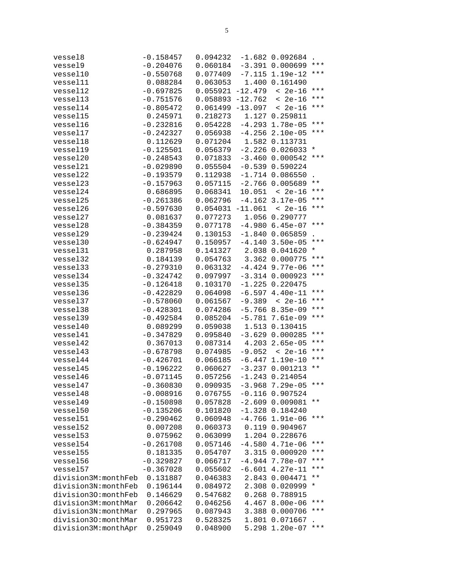| vessel8                                    | $-0.158457$                | 0.094232                    |                      | $-1.682$ 0.092684                      |                |
|--------------------------------------------|----------------------------|-----------------------------|----------------------|----------------------------------------|----------------|
| vessel9                                    | $-0.204076$                | 0.060184                    |                      | $-3.391$ 0.000699                      | $***$          |
| vessel10                                   | $-0.550768$                | $0.077409 - 7.115 1.19e-12$ |                      |                                        | ***            |
| vessel11                                   | 0.088284                   | 0.063053 1.400 0.161490     |                      |                                        |                |
| vessel12                                   | $-0.697825$                | $0.055921 -12.479 < 2e-16$  |                      |                                        | ***            |
| vessel13                                   | $-0.751576$                | 0.058893                    |                      | $-12.762 < 2e-16$                      | ***            |
| vessel14                                   | $-0.805472$                | $0.061499 - 13.097 < 2e-16$ |                      |                                        | $***$          |
| vessel15                                   | 0.245971                   | 0.218273                    |                      | 1.127 0.259811                         |                |
| vessel16                                   | $-0.232816$                | 0.054228                    |                      | $-4.293$ $1.78e-05$                    | $***$          |
| vessel17                                   | $-0.242327$                | 0.056938                    |                      | $-4.256$ 2.10e-05                      | $***$          |
| vessel18                                   | 0.112629                   | 0.071204                    |                      | 1.582 0.113731                         |                |
| vessel19                                   | $-0.125501$                | $0.056379 - 2.226 0.026033$ |                      |                                        | $^\star$       |
| vessel20                                   | $-0.248543$                | 0.071833                    |                      | $-3.460$ 0.000542                      | ***            |
| vessel21                                   | $-0.029890$                | 0.055504                    |                      | $-0.539$ 0.590224                      |                |
| vessel22                                   | $-0.193579$                | $0.112938 - 1.714 0.086550$ |                      |                                        |                |
| vessel23                                   | $-0.157963$                | 0.057115                    |                      | $-2.766$ 0.005689                      | $\star\star$   |
| vessel24                                   | 0.686895                   | 0.068341                    |                      | $10.051 < 2e-16$                       | $***$          |
| vessel25                                   | $-0.261386$                | 0.062796                    |                      | $-4.162$ 3.17e-05                      | $***$          |
| vessel26                                   | $-0.597630$                | $0.054031 -11.061 < 2e-16$  |                      |                                        | $***$          |
| vessel27                                   | 0.081637                   | 0.077273                    |                      | 1.056 0.290777                         |                |
| vessel28                                   | $-0.384359$                | $0.077178 - 4.980 6.45e-07$ |                      |                                        | $***$          |
| vessel29                                   | $-0.239424$                | 0.130153                    |                      | $-1.840$ 0.065859                      |                |
| vessel30                                   | $-0.624947$                | 0.150957                    |                      | $-4.140$ 3.50e-05                      | ***            |
| vessel31                                   | 0.287958                   | 0.141327                    |                      |                                        | $^\star$       |
| vessel32                                   |                            |                             |                      | 2.038 0.041620<br>3.362 0.000775       | $***$          |
|                                            | 0.184139                   | 0.054763                    |                      | $-4.424$ 9.77e-06                      | $***$          |
| vessel33                                   | $-0.279310$                | 0.063132                    |                      |                                        | $***$          |
| vessel34                                   | $-0.324742$                | 0.097997                    |                      | $-3.314$ 0.000923                      |                |
| vessel35                                   | $-0.126418$                | 0.103170                    |                      | $-1.225$ 0.220475<br>$-6.597$ 4.40e-11 | $***$          |
| vessel36                                   | $-0.422829$                | 0.064098                    |                      |                                        | ***            |
| vessel37                                   | $-0.578060$                | 0.061567                    |                      | $-9.389 < 2e-16$                       | ***            |
| vessel38<br>vessel39                       | $-0.428301$<br>$-0.492584$ | 0.074286<br>0.085204        |                      | $-5.766$ 8.35e-09                      | $***$          |
| vessel40                                   | 0.089299                   | 0.059038                    |                      | $-5.781$ 7.61e-09<br>1.513 0.130415    |                |
| vessel41                                   | $-0.347829$                | 0.095840                    |                      | $-3.629$ 0.000285                      | $***$          |
|                                            |                            |                             |                      | 4.203 2.65e-05                         | $***$          |
| vessel42<br>vessel43                       | 0.367013<br>$-0.678798$    | 0.087314<br>0.074985        |                      | $-9.052 < 2e-16$                       | $***$          |
| vessel44                                   |                            |                             |                      | $-6.447$ 1.19e-10                      | $***$          |
| vessel45                                   | $-0.426701$<br>$-0.196222$ | 0.066185<br>0.060627        |                      | $-3.237$ 0.001213                      | $\star\star$   |
| vessel46                                   | $-0.071145$                | 0.057256                    |                      | $-1.243$ 0.214054                      |                |
| vessel47                                   |                            |                             |                      |                                        | ***            |
| vessel48                                   | $-0.360830$<br>$-0.008916$ | 0.090935<br>0.076755        |                      | $-3.968$ 7.29e-05<br>$-0.116$ 0.907524 |                |
| vessel49                                   | $-0.150898$                | 0.057828                    |                      | $-2.60900.009081$                      | $\star\,\star$ |
| vessel50                                   | $-0.135206$                | 0.101820                    |                      | $-1.328$ 0.184240                      |                |
| vessel51                                   | $-0.290462$                | 0.060948                    |                      | $-4.766$ 1.91e-06                      | $***$          |
| vessel52                                   | 0.007208                   | 0.060373                    |                      | 0.119 0.904967                         |                |
| vessel53                                   | 0.075962                   | 0.063099                    |                      | 1.204 0.228676                         |                |
| vessel54                                   | $-0.261708$                | 0.057146                    | $-4.580$             | $4.71e-06$                             | ***            |
| vessel55                                   | 0.181335                   | 0.054707                    |                      | 0.000920                               | ***            |
| vessel56                                   | $-0.329827$                | 0.066717                    | 3.315                | 7.78e-07                               | ***            |
| vessel57                                   | $-0.367028$                | 0.055602                    | $-4.944$<br>$-6.601$ | $4.27e-11$                             | ***            |
| division3M:monthFeb                        | 0.131887                   | 0.046383                    | 2.843                | 0.004471                               | $***$          |
|                                            |                            |                             |                      |                                        | $^\star$       |
| division3N:monthFeb<br>division30:monthFeb | 0.196144<br>0.146629       | 0.084972<br>0.547682        |                      | 2.308 0.020999<br>0.268 0.788915       |                |
| division3M:monthMar                        | 0.206642                   |                             |                      | 4.467 8.00e-06                         | * * *          |
| division3N:monthMar                        |                            | 0.046256                    |                      | 3.388 0.000706                         | ***            |
| division30:monthMar                        | 0.297965                   | 0.087943<br>0.528325        |                      | 1.801 0.071667                         |                |
|                                            | 0.951723                   |                             |                      |                                        | ***            |
| division3M:monthApr                        | 0.259049                   | 0.048900                    |                      | 5.298 1.20e-07                         |                |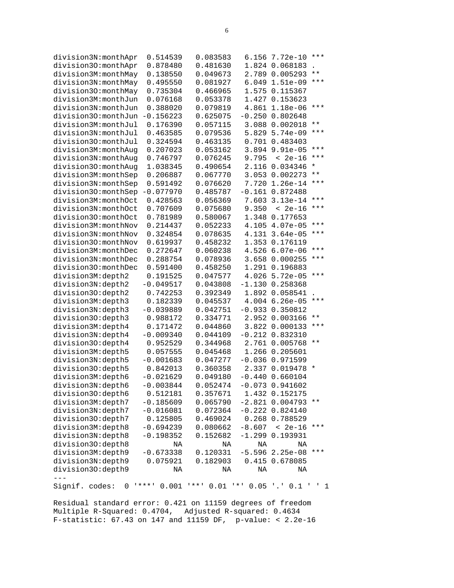| division3N:monthApr<br>division30:monthApr | 0.514539<br>0.878480      | 0.083583<br>0.481630   | 6.156<br>1.824                             | 7.72e-10<br>0.068183 | ***             |
|--------------------------------------------|---------------------------|------------------------|--------------------------------------------|----------------------|-----------------|
| division3M:monthMay                        | 0.138550                  | 0.049673               | 2.789                                      | 0.005293             | $\star\star$    |
| division3N:monthMay                        | 0.495550                  | 0.081927               | 6.049                                      | $1.51e-09$           | ***             |
| division30:monthMay                        | 0.735304                  | 0.466965               | 1.575                                      | 0.115367             |                 |
| division3M:monthJun                        | 0.076168                  | 0.053378               | 1.427                                      | 0.153623             |                 |
| division3N:monthJun                        | 0.388020                  | 0.079819               | 4.861                                      | 1.18e-06             | $***$           |
| division30:monthJun                        | $-0.156223$               | 0.625075               | $-0.250$                                   | 0.802648             |                 |
| division3M:monthJul                        | 0.176390                  | 0.057115               | 3.088                                      | 0.002018             | * *             |
| division3N:monthJul                        | 0.463585                  | 0.079536               | 5.829                                      | $5.74e-09$           | ***             |
| division30:monthJul                        | 0.324594                  | 0.463135               | 0.701                                      | 0.483403             |                 |
| division3M: monthAug                       | 0.207023                  | 0.053162               | 3.894                                      | $9.91e-05$           | ***             |
| division3N: monthAug                       | 0.746797                  | 0.076245               | 9.795                                      | $< 2e-16$            | ***             |
| division30:monthAug                        | 1.038345                  | 0.490654               | 2.116                                      | 0.034346             | *               |
| division3M:monthSep                        | 0.206887                  | 0.067770               | 3.053                                      | 0.002273             | $* *$           |
| division3N:monthSep                        | 0.591492                  | 0.076620               | 7.720                                      | $1.26e-14$           | ***             |
| division30:monthSep                        | $-0.077970$               | 0.485787               | $-0.161$                                   | 0.872488             |                 |
| division3M:monthOct                        | 0.428563                  | 0.056369               | 7.603                                      | $3.13e-14$           | ***             |
| division3N:monthOct                        | 0.707609                  | 0.075680               | 9.350                                      | $< 2e-16$            | ***             |
| division30:monthOct                        | 0.781989                  | 0.580067               | 1.348                                      | 0.177653             |                 |
| division3M:monthNov                        | 0.214437                  | 0.052233               | 4.105                                      | $4.07e-05$           | $***$           |
| division3N:monthNov                        | 0.324854                  | 0.078635               | 4.131                                      | $3.64e-05$           | ***             |
| division30:monthNov                        | 0.619937                  | 0.458232               | 1.353                                      | 0.176119             |                 |
| division3M:monthDec                        | 0.272647                  | 0.060238               | 4.526                                      | $6.07e-06$           | ***             |
| division3N:monthDec                        | 0.288754                  | 0.078936               | 3.658                                      | 0.000255             | ***             |
| division30:monthDec                        | 0.591400                  | 0.458250               | 1.291                                      | 0.196883             |                 |
| division3M:depth2                          | 0.191525                  | 0.047577               | 4.026                                      | $5.72e-05$           | ***             |
| division3N:depth2                          | $-0.049517$               | 0.043808               | $-1.130$                                   | 0.258368             |                 |
| division30:depth2                          | 0.742253                  | 0.392349               | 1.892                                      | 0.058541             |                 |
| division3M:depth3                          | 0.182339                  | 0.045537               | 4.004                                      | $6.26e-05$           | ***             |
| division3N:depth3                          | $-0.039889$               | 0.042751               | $-0.933$                                   | 0.350812             |                 |
| division30:depth3                          | 0.988172                  | 0.334771               | 2.952                                      | 0.003166             | $\star\star$    |
| division3M:depth4                          | 0.171472                  | 0.044860               | 3.822                                      | 0.000133             | ***             |
| division3N:depth4                          | $-0.009340$               | 0.044109               | $-0.212$                                   | 0.832310             |                 |
| division30:depth4                          | 0.952529                  | 0.344968               | 2.761                                      | 0.005768             | $***$           |
| division3M:depth5                          | 0.057555                  | 0.045468               | 1.266                                      | 0.205601             |                 |
| division3N:depth5                          | $-0.001683$               | 0.047277               | $-0.036$                                   | 0.971599             |                 |
| division30:depth5                          | 0.842013                  | 0.360358               | 2.337                                      | 0.019478             | *               |
| division3M:depth6                          | $-0.021629$               | 0.049180               |                                            | $-0.440$ $0.660104$  |                 |
| division3N:depth6                          | $-0.003844$               | 0.052474               |                                            | $-0.073$ 0.941602    |                 |
| division30:depth6                          | 0.512181                  | 0.357671               |                                            | 1.432 0.152175       |                 |
| division3M:depth7                          | $-0.185609$               | 0.065790               |                                            | $-2.821$ 0.004793    | $\star$ $\star$ |
| division3N:depth7                          | $-0.016081$               | 0.072364               |                                            | $-0.222 0.824140$    |                 |
| division30:depth7                          | 0.125805                  | 0.469024               |                                            | 0.268 0.788529       |                 |
| division3M:depth8                          | $-0.694239$               | 0.080662               | $-8.607$                                   | $< 2e-16$            | $***$           |
| division3N:depth8                          | $-0.198352$               | 0.152682               |                                            | $-1.299$ 0.193931    |                 |
| division30:depth8                          | ΝA                        | ΝA                     | ΝA                                         | ΝA                   |                 |
| division3M:depth9                          | $-0.673338$               | 0.120331               | $-5.596$                                   | $2.25e-08$           | ***             |
| division3N:depth9                          | 0.075921                  | 0.182903               |                                            | 0.415 0.678085       |                 |
| division30:depth9                          | ΝA                        | ΝA                     | ΝA                                         | ΝA                   |                 |
|                                            |                           |                        |                                            |                      |                 |
| Signif. codes:<br>0                        | <b>1 * * * 1</b><br>0.001 | 0.01<br><b>1 * * 1</b> | $\mathbf{1}$ $\mathbf{\star}$ $\mathbf{1}$ | $0.05$ '.' $0.1$ ''  | 1               |

Residual standard error: 0.421 on 11159 degrees of freedom Multiple R-Squared: 0.4704, Adjusted R-squared: 0.4634 F-statistic: 67.43 on 147 and 11159 DF, p-value: < 2.2e-16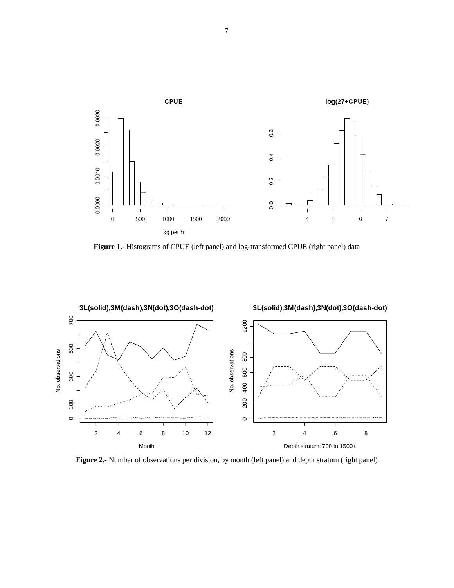

**Figure 1.-** Histograms of CPUE (left panel) and log-transformed CPUE (right panel) data



**Figure 2.-** Number of observations per division, by month (left panel) and depth stratum (right panel)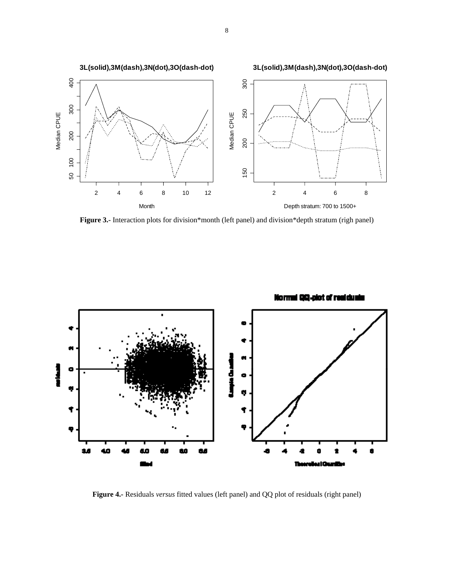

**Figure 3.-** Interaction plots for division\*month (left panel) and division\*depth stratum (righ panel)



**Figure 4.-** Residuals *versus* fitted values (left panel) and QQ plot of residuals (right panel)